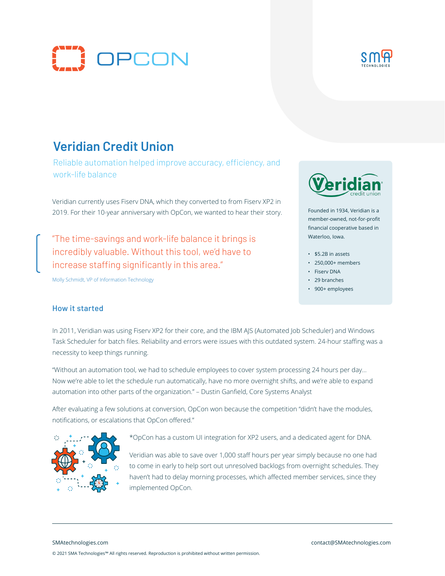



# **Veridian Credit Union**

Reliable automation helped improve accuracy, efficiency, and work-life balance

Veridian currently uses Fiserv DNA, which they converted to from Fiserv XP2 in 2019. For their 10-year anniversary with OpCon, we wanted to hear their story.

"The time-savings and work-life balance it brings is incredibly valuable. Without this tool, we'd have to increase staffing significantly in this area."

Molly Schmidt, VP of Information Technology



Founded in 1934, Veridian is a member-owned, not-for-profit financial cooperative based in Waterloo, Iowa.

- \$5.2B in assets
- 250,000+ members
- Fiserv DNA
- 29 branches
- 900+ employees

#### How it started

In 2011, Veridian was using Fiserv XP2 for their core, and the IBM AJS (Automated Job Scheduler) and Windows Task Scheduler for batch files. Reliability and errors were issues with this outdated system. 24-hour staffing was a necessity to keep things running.

"Without an automation tool, we had to schedule employees to cover system processing 24 hours per day… Now we're able to let the schedule run automatically, have no more overnight shifts, and we're able to expand automation into other parts of the organization." – Dustin Ganfield, Core Systems Analyst

After evaluating a few solutions at conversion, OpCon won because the competition "didn't have the modules, notifications, or escalations that OpCon offered."



\*OpCon has a custom UI integration for XP2 users, and a dedicated agent for DNA.

Veridian was able to save over 1,000 staff hours per year simply because no one had to come in early to help sort out unresolved backlogs from overnight schedules. They haven't had to delay morning processes, which affected member services, since they implemented OpCon.

SMAtechnologies.com contact@SMAtechnologies.com © 2021 SMA Technologies™ All rights reserved. Reproduction is prohibited without written permission.